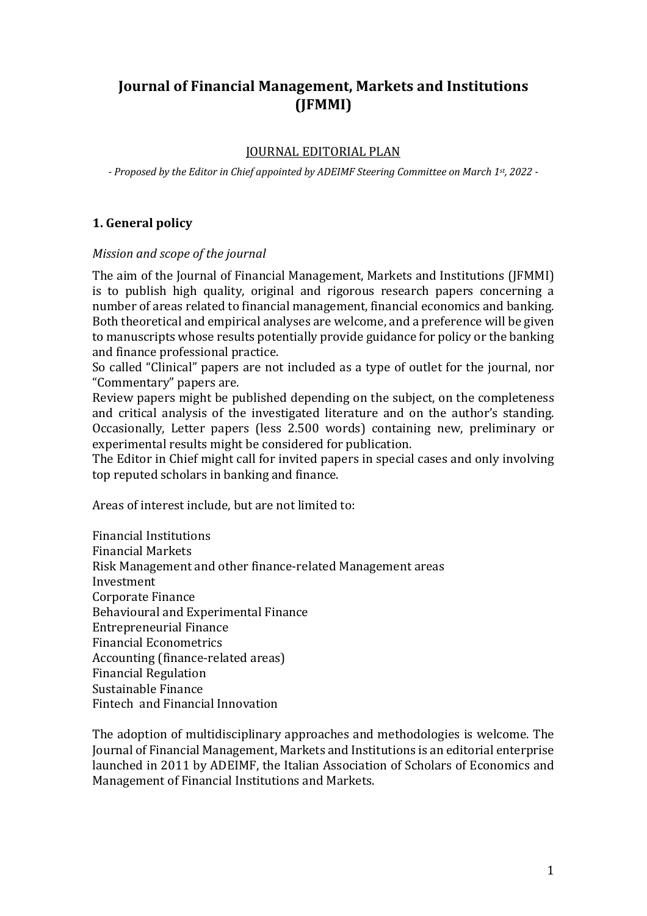# **Journal of Financial Management, Markets and Institutions (JFMMI)**

## **JOURNAL EDITORIAL PLAN**

- Proposed by the Editor in Chief appointed by ADEIMF Steering Committee on March 1<sup>st</sup>, 2022 -

## **1. General policy**

## *Mission and scope of the journal*

The aim of the Journal of Financial Management, Markets and Institutions (JFMMI) is to publish high quality, original and rigorous research papers concerning a number of areas related to financial management, financial economics and banking. Both theoretical and empirical analyses are welcome, and a preference will be given to manuscripts whose results potentially provide guidance for policy or the banking and finance professional practice.

So called "Clinical" papers are not included as a type of outlet for the journal, nor "Commentary" papers are.

Review papers might be published depending on the subject, on the completeness and critical analysis of the investigated literature and on the author's standing. Occasionally, Letter papers (less 2.500 words) containing new, preliminary or experimental results might be considered for publication.

The Editor in Chief might call for invited papers in special cases and only involving top reputed scholars in banking and finance.

Areas of interest include, but are not limited to:

Financial Institutions Financial Markets Risk Management and other finance-related Management areas Investment Corporate Finance Behavioural and Experimental Finance Entrepreneurial Finance Financial Econometrics Accounting (finance-related areas) Financial Regulation Sustainable Finance Fintech and Financial Innovation

The adoption of multidisciplinary approaches and methodologies is welcome. The Journal of Financial Management, Markets and Institutions is an editorial enterprise launched in 2011 by ADEIMF, the Italian Association of Scholars of Economics and Management of Financial Institutions and Markets.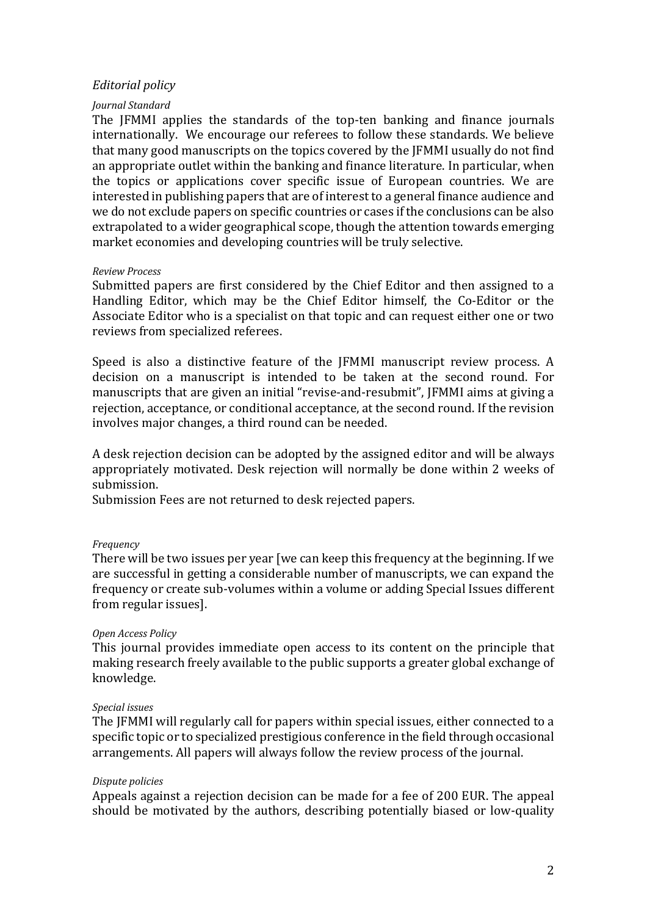## *Editorial policy*

## *Journal Standard*

The JFMMI applies the standards of the top-ten banking and finance journals internationally. We encourage our referees to follow these standards. We believe that many good manuscripts on the topics covered by the [FMMI usually do not find an appropriate outlet within the banking and finance literature. In particular, when the topics or applications cover specific issue of European countries. We are interested in publishing papers that are of interest to a general finance audience and we do not exclude papers on specific countries or cases if the conclusions can be also extrapolated to a wider geographical scope, though the attention towards emerging market economies and developing countries will be truly selective.

#### *Review Process*

Submitted papers are first considered by the Chief Editor and then assigned to a Handling Editor, which may be the Chief Editor himself, the Co-Editor or the Associate Editor who is a specialist on that topic and can request either one or two reviews from specialized referees.

Speed is also a distinctive feature of the JFMMI manuscript review process. A decision on a manuscript is intended to be taken at the second round. For manuscripts that are given an initial "revise-and-resubmit", JFMMI aims at giving a rejection, acceptance, or conditional acceptance, at the second round. If the revision involves major changes, a third round can be needed.

A desk rejection decision can be adopted by the assigned editor and will be always appropriately motivated. Desk rejection will normally be done within 2 weeks of submission.

Submission Fees are not returned to desk rejected papers.

#### *Frequency*

There will be two issues per year [we can keep this frequency at the beginning. If we are successful in getting a considerable number of manuscripts, we can expand the frequency or create sub-volumes within a volume or adding Special Issues different from regular issues].

## *Open Access Policy*

This journal provides immediate open access to its content on the principle that making research freely available to the public supports a greater global exchange of knowledge.

## *Special issues*

The IFMMI will regularly call for papers within special issues, either connected to a specific topic or to specialized prestigious conference in the field through occasional arrangements. All papers will always follow the review process of the journal.

## *Dispute policies*

Appeals against a rejection decision can be made for a fee of 200 EUR. The appeal should be motivated by the authors, describing potentially biased or low-quality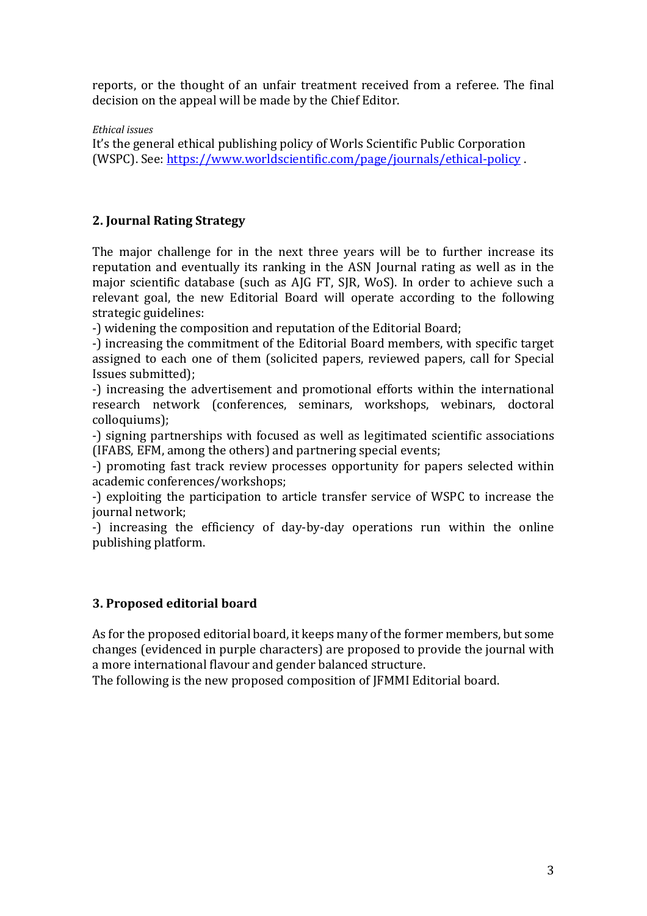reports, or the thought of an unfair treatment received from a referee. The final decision on the appeal will be made by the Chief Editor.

*Ethical issues*

It's the general ethical publishing policy of Worls Scientific Public Corporation (WSPC). See: https://www.worldscientific.com/page/journals/ethical-policy .

# **2. Journal Rating Strategy**

The major challenge for in the next three years will be to further increase its reputation and eventually its ranking in the ASN Journal rating as well as in the major scientific database (such as AJG FT, SJR, WoS). In order to achieve such a relevant goal, the new Editorial Board will operate according to the following strategic guidelines:

-) widening the composition and reputation of the Editorial Board;

-) increasing the commitment of the Editorial Board members, with specific target assigned to each one of them (solicited papers, reviewed papers, call for Special Issues submitted);

-) increasing the advertisement and promotional efforts within the international research network (conferences, seminars, workshops, webinars, doctoral colloquiums);

-) signing partnerships with focused as well as legitimated scientific associations (IFABS, EFM, among the others) and partnering special events;

-) promoting fast track review processes opportunity for papers selected within academic conferences/workshops;

-) exploiting the participation to article transfer service of WSPC to increase the iournal network:

-) increasing the efficiency of day-by-day operations run within the online publishing platform.

# **3. Proposed editorial board**

As for the proposed editorial board, it keeps many of the former members, but some changes (evidenced in purple characters) are proposed to provide the journal with a more international flavour and gender balanced structure.

The following is the new proposed composition of IFMMI Editorial board.